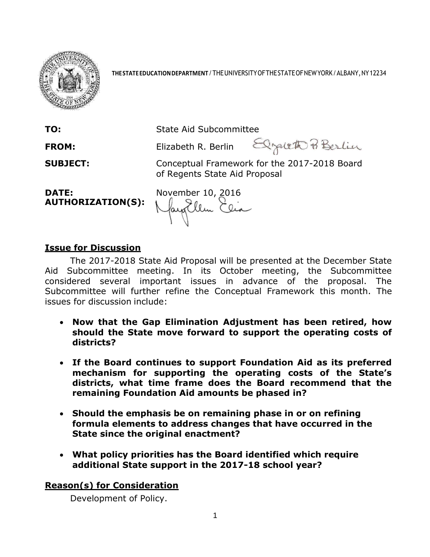

**THESTATEEDUCATIONDEPARTMENT**/THEUNIVERSITYOFTHESTATEOFNEWYORK/ALBANY,NY12234

**TO:** State Aid Subcommittee

FROM: Elizabeth R. Berlin Elizabeth P. Berlin

**SUBJECT:** Conceptual Framework for the 2017-2018 Board of Regents State Aid Proposal

**AUTHORIZATION(S):**

**DATE:** November 10, 2016<br>**AUTHORIZATION(S):** May Elim Elia

## **Issue for Discussion**

The 2017-2018 State Aid Proposal will be presented at the December State Aid Subcommittee meeting. In its October meeting, the Subcommittee considered several important issues in advance of the proposal. The Subcommittee will further refine the Conceptual Framework this month. The issues for discussion include:

- **Now that the Gap Elimination Adjustment has been retired, how should the State move forward to support the operating costs of districts?**
- **If the Board continues to support Foundation Aid as its preferred mechanism for supporting the operating costs of the State's districts, what time frame does the Board recommend that the remaining Foundation Aid amounts be phased in?**
- **Should the emphasis be on remaining phase in or on refining formula elements to address changes that have occurred in the State since the original enactment?**
- **What policy priorities has the Board identified which require additional State support in the 2017-18 school year?**

# **Reason(s) for Consideration**

Development of Policy.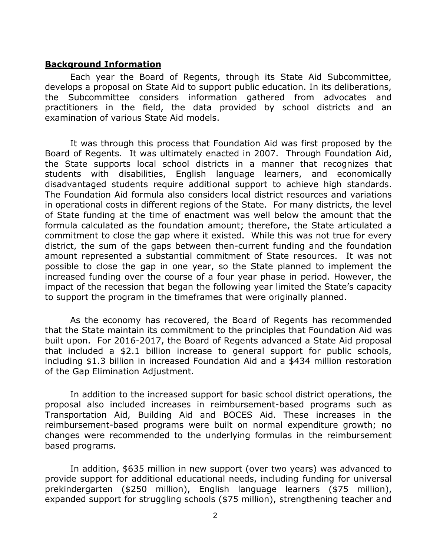#### **Background Information**

Each year the Board of Regents, through its State Aid Subcommittee, develops a proposal on State Aid to support public education. In its deliberations, the Subcommittee considers information gathered from advocates and practitioners in the field, the data provided by school districts and an examination of various State Aid models.

It was through this process that Foundation Aid was first proposed by the Board of Regents. It was ultimately enacted in 2007. Through Foundation Aid, the State supports local school districts in a manner that recognizes that students with disabilities, English language learners, and economically disadvantaged students require additional support to achieve high standards. The Foundation Aid formula also considers local district resources and variations in operational costs in different regions of the State. For many districts, the level of State funding at the time of enactment was well below the amount that the formula calculated as the foundation amount; therefore, the State articulated a commitment to close the gap where it existed. While this was not true for every district, the sum of the gaps between then-current funding and the foundation amount represented a substantial commitment of State resources. It was not possible to close the gap in one year, so the State planned to implement the increased funding over the course of a four year phase in period. However, the impact of the recession that began the following year limited the State's capacity to support the program in the timeframes that were originally planned.

As the economy has recovered, the Board of Regents has recommended that the State maintain its commitment to the principles that Foundation Aid was built upon. For 2016-2017, the Board of Regents advanced a State Aid proposal that included a \$2.1 billion increase to general support for public schools, including \$1.3 billion in increased Foundation Aid and a \$434 million restoration of the Gap Elimination Adjustment.

In addition to the increased support for basic school district operations, the proposal also included increases in reimbursement-based programs such as Transportation Aid, Building Aid and BOCES Aid. These increases in the reimbursement-based programs were built on normal expenditure growth; no changes were recommended to the underlying formulas in the reimbursement based programs.

In addition, \$635 million in new support (over two years) was advanced to provide support for additional educational needs, including funding for universal prekindergarten (\$250 million), English language learners (\$75 million), expanded support for struggling schools (\$75 million), strengthening teacher and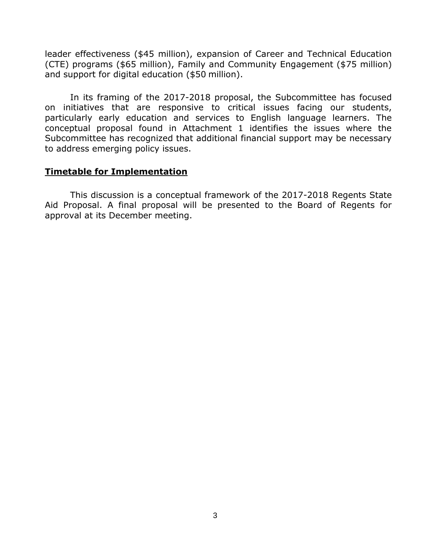leader effectiveness (\$45 million), expansion of Career and Technical Education (CTE) programs (\$65 million), Family and Community Engagement (\$75 million) and support for digital education (\$50 million).

In its framing of the 2017-2018 proposal, the Subcommittee has focused on initiatives that are responsive to critical issues facing our students, particularly early education and services to English language learners. The conceptual proposal found in Attachment 1 identifies the issues where the Subcommittee has recognized that additional financial support may be necessary to address emerging policy issues.

### **Timetable for Implementation**

This discussion is a conceptual framework of the 2017-2018 Regents State Aid Proposal. A final proposal will be presented to the Board of Regents for approval at its December meeting.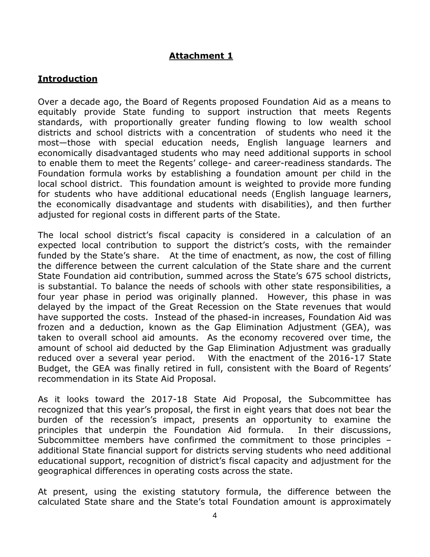# **Attachment 1**

## **Introduction**

Over a decade ago, the Board of Regents proposed Foundation Aid as a means to equitably provide State funding to support instruction that meets Regents standards, with proportionally greater funding flowing to low wealth school districts and school districts with a concentration of students who need it the most—those with special education needs, English language learners and economically disadvantaged students who may need additional supports in school to enable them to meet the Regents' college- and career-readiness standards. The Foundation formula works by establishing a foundation amount per child in the local school district. This foundation amount is weighted to provide more funding for students who have additional educational needs (English language learners, the economically disadvantage and students with disabilities), and then further adjusted for regional costs in different parts of the State.

The local school district's fiscal capacity is considered in a calculation of an expected local contribution to support the district's costs, with the remainder funded by the State's share. At the time of enactment, as now, the cost of filling the difference between the current calculation of the State share and the current State Foundation aid contribution, summed across the State's 675 school districts, is substantial. To balance the needs of schools with other state responsibilities, a four year phase in period was originally planned. However, this phase in was delayed by the impact of the Great Recession on the State revenues that would have supported the costs. Instead of the phased-in increases, Foundation Aid was frozen and a deduction, known as the Gap Elimination Adjustment (GEA), was taken to overall school aid amounts. As the economy recovered over time, the amount of school aid deducted by the Gap Elimination Adjustment was gradually reduced over a several year period. With the enactment of the 2016-17 State Budget, the GEA was finally retired in full, consistent with the Board of Regents' recommendation in its State Aid Proposal.

As it looks toward the 2017-18 State Aid Proposal, the Subcommittee has recognized that this year's proposal, the first in eight years that does not bear the burden of the recession's impact, presents an opportunity to examine the principles that underpin the Foundation Aid formula. In their discussions, Subcommittee members have confirmed the commitment to those principles – additional State financial support for districts serving students who need additional educational support, recognition of district's fiscal capacity and adjustment for the geographical differences in operating costs across the state.

At present, using the existing statutory formula, the difference between the calculated State share and the State's total Foundation amount is approximately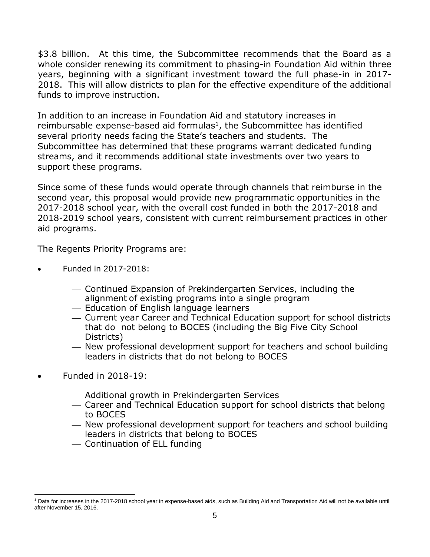\$3.8 billion. At this time, the Subcommittee recommends that the Board as a whole consider renewing its commitment to phasing-in Foundation Aid within three years, beginning with a significant investment toward the full phase-in in 2017- 2018. This will allow districts to plan for the effective expenditure of the additional funds to improve instruction.

In addition to an increase in Foundation Aid and statutory increases in reimbursable expense-based aid formulas<sup>1</sup>, the Subcommittee has identified several priority needs facing the State's teachers and students. The Subcommittee has determined that these programs warrant dedicated funding streams, and it recommends additional state investments over two years to support these programs.

Since some of these funds would operate through channels that reimburse in the second year, this proposal would provide new programmatic opportunities in the 2017-2018 school year, with the overall cost funded in both the 2017-2018 and 2018-2019 school years, consistent with current reimbursement practices in other aid programs.

The Regents Priority Programs are:

- Funded in 2017-2018:
	- Continued Expansion of Prekindergarten Services, including the alignment of existing programs into a single program
	- Education of English language learners
	- Current year Career and Technical Education support for school districts that do not belong to BOCES (including the Big Five City School Districts)
	- New professional development support for teachers and school building leaders in districts that do not belong to BOCES
- Funded in 2018-19:

 $\overline{a}$ 

- Additional growth in Prekindergarten Services
- Career and Technical Education support for school districts that belong to BOCES
- New professional development support for teachers and school building leaders in districts that belong to BOCES
- Continuation of ELL funding

<sup>1</sup> Data for increases in the 2017-2018 school year in expense-based aids, such as Building Aid and Transportation Aid will not be available until after November 15, 2016.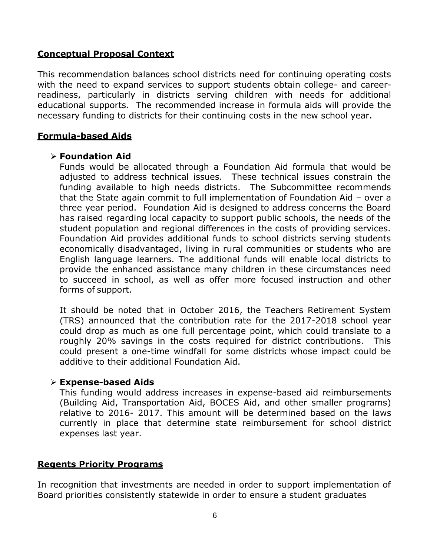## **Conceptual Proposal Context**

This recommendation balances school districts need for continuing operating costs with the need to expand services to support students obtain college- and careerreadiness, particularly in districts serving children with needs for additional educational supports. The recommended increase in formula aids will provide the necessary funding to districts for their continuing costs in the new school year.

## **Formula-based Aids**

### **Foundation Aid**

Funds would be allocated through a Foundation Aid formula that would be adjusted to address technical issues. These technical issues constrain the funding available to high needs districts. The Subcommittee recommends that the State again commit to full implementation of Foundation Aid – over a three year period. Foundation Aid is designed to address concerns the Board has raised regarding local capacity to support public schools, the needs of the student population and regional differences in the costs of providing services. Foundation Aid provides additional funds to school districts serving students economically disadvantaged, living in rural communities or students who are English language learners. The additional funds will enable local districts to provide the enhanced assistance many children in these circumstances need to succeed in school, as well as offer more focused instruction and other forms of support.

It should be noted that in October 2016, the Teachers Retirement System (TRS) announced that the contribution rate for the 2017-2018 school year could drop as much as one full percentage point, which could translate to a roughly 20% savings in the costs required for district contributions. This could present a one-time windfall for some districts whose impact could be additive to their additional Foundation Aid.

### **Expense-based Aids**

This funding would address increases in expense-based aid reimbursements (Building Aid, Transportation Aid, BOCES Aid, and other smaller programs) relative to 2016- 2017. This amount will be determined based on the laws currently in place that determine state reimbursement for school district expenses last year.

### **Regents Priority Programs**

In recognition that investments are needed in order to support implementation of Board priorities consistently statewide in order to ensure a student graduates